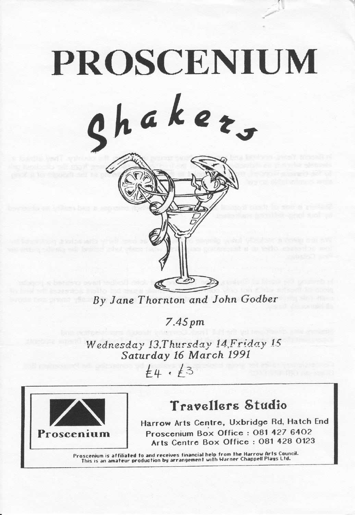## PROSCENIUM chaker,

By Jane Thornton and John Godber

7.45 pm

Wednesday 13, Thursday 14, Friday 15<br>Saturday 16 March 1991

 $\overline{\mathcal{E}}$ 4. $\overline{\mathcal{E}}$ 



## **Travallars Studio**

Harrow Arts Centre, Uxbridge Rd, Hatch End Proscenium Box Office: 081 427 6402 Arts Centre Box Office: 081 428 0123

Proscenium is affiliated to and receives financial help from the Harrow Arts Council.<br>This is an amateur production by arrangement with Warner Chappell Plays Ltd.